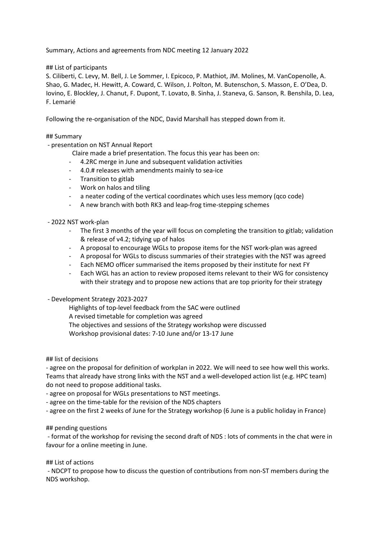Summary, Actions and agreements from NDC meeting 12 January 2022

# ## List of participants

S. Ciliberti, C. Levy, M. Bell, J. Le Sommer, I. Epicoco, P. Mathiot, JM. Molines, M. VanCopenolle, A. Shao, G. Madec, H. Hewitt, A. Coward, C. Wilson, J. Polton, M. Butenschon, S. Masson, E. O'Dea, D. Iovino, E. Blockley, J. Chanut, F. Dupont, T. Lovato, B. Sinha, J. Staneva, G. Sanson, R. Benshila, D. Lea, F. Lemarié

Following the re-organisation of the NDC, David Marshall has stepped down from it.

# ## Summary

- presentation on NST Annual Report

- Claire made a brief presentation. The focus this year has been on:
- 4.2RC merge in June and subsequent validation activities
- 4.0.# releases with amendments mainly to sea-ice
- Transition to gitlab
- Work on halos and tiling
- a neater coding of the vertical coordinates which uses less memory (qco code)
- A new branch with both RK3 and leap-frog time-stepping schemes

#### - 2022 NST work-plan

- The first 3 months of the year will focus on completing the transition to gitlab; validation & release of v4.2; tidying up of halos
- A proposal to encourage WGLs to propose items for the NST work-plan was agreed
- A proposal for WGLs to discuss summaries of their strategies with the NST was agreed
- Each NEMO officer summarised the items proposed by their institute for next FY
- Each WGL has an action to review proposed items relevant to their WG for consistency with their strategy and to propose new actions that are top priority for their strategy

#### - Development Strategy 2023-2027

 Highlights of top-level feedback from the SAC were outlined A revised timetable for completion was agreed The objectives and sessions of the Strategy workshop were discussed Workshop provisional dates: 7-10 June and/or 13-17 June

# ## list of decisions

- agree on the proposal for definition of workplan in 2022. We will need to see how well this works. Teams that already have strong links with the NST and a well-developed action list (e.g. HPC team) do not need to propose additional tasks.

- agree on proposal for WGLs presentations to NST meetings.

- agree on the time-table for the revision of the NDS chapters

- agree on the first 2 weeks of June for the Strategy workshop (6 June is a public holiday in France)

#### ## pending questions

 - format of the workshop for revising the second draft of NDS : lots of comments in the chat were in favour for a online meeting in June.

## List of actions

 - NDCPT to propose how to discuss the question of contributions from non-ST members during the NDS workshop.